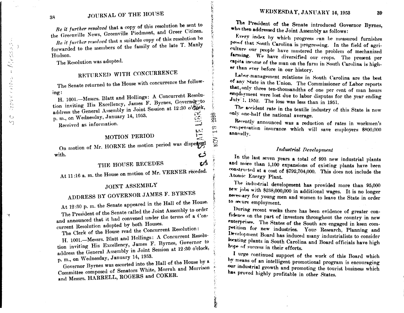\

•l,  $\leq$ 

> ,) *c*

> > -"

 $\vee$ 

 $\circ$ 

...

# 38 JOURNAL OF THE HOUSE

*Be it further resolved* that a copy of this resolution be sent to the Greenville News, Greenville Piedmont, and Greer Citizen.

*Re it further resolved* that a suitable copy of this resolution be forwarded to the members of the family of the late T. Manly Hudson.

The Resolution was adopted.

#### WITH CONCURRENCE

The Senate returned to the House with concurrence the followmg:

H. 1001.--Messrs. Blatt and Hollings: A Concurrent Resolution inviting His Excellency, James F. Byrnes, Governor to address the General Assembly in Joint Session at 12:30 o'clock, address the General Assembly in  $\overline{S}$ .<br>p.m., on Wednesday, January 14, 1953.

Received as information.

#### MOTION PERIOD

...

ъÁ

i'

*i:,* " j',' ;; 7

 $\mathfrak{z}$ 

" *·.: ,'J* 

o/ i

<10

·-· '#'!:;!.-., ?

' *x* 

i<br>Kabupatèn<br>Kabupatèn

On motion of Mr. HORNE the motion period was dispersed *)*  with.

THE HOUSE RECEDES

At 11.16 a.m. the House on motion of Mr. VERNER receded.

#### JOINT

### ADDRESS BY GOVERNOR JAMES F. BYRNES

At 12 :30 p. m. the Senate appeared in the Hall of the House. The President of the Senate called the Joint Assembly to order and announced that it had convened under the terms of a Concurrent Resolution adopted by both Houses.

 $T_{\text{The C-Quark of the House read the Concurrent Resolution}}$ 

H. 1001.-Messrs. Blatt and Hollings: A Concurrent Resolution inviting His Excellency, James F. Byrnes, Governor to address the General Assembly in Joint Session at 12:30 o'clock, p.m., on 1Vednesday, January 14, 1953.

Governor Byrnes was escorted into the Hall of the House by a Committee composed of Senators White, Morrah and Morrison and Messrs. HARRELL, ROGERS and COKER.

# WEDNESDAY, JANUARY 14, 1953 39

The President of the Senate introduced Governor Byrnes, •ho then addressed the Joint Assembly as follows:

Every index by which progress can be measured furnishes proof that South Carolina is progressing. In the field of agriculture our people have mastered the problem of mechanized farming. We have diversified our crops. The present per eapita income of the man on the farm in South Carolina is higher than ever before in our history.

Lator-management relations in South Carolina are the best of any State in the Union. The Commissioner of Labor reports that only three ten-thousandths of one per cent of man hours employment were lost due to labor disputes for the year ending  $1.1952$ . The loss was less than in 1951.

The accident rate in the textile industry of this State is now only one-half the national average.

announced was a reduetion of rates in workmen's compensation insurance which will save employers \$800,000 annually.

### *Industria], Development*

In the last seven years a total of 993 new industrial plants and more than  $1,100$  expansions of existing plants have been constructed at a cost of  $$792,704,000$ . This does not include the Atomic Energy Plant.

The industrial development has provided more than 95,000 new jobs with \$238,000,000 in additional wages. It is no longer neces-ary for young men and women to leave the State in order to secure employment.

During recent weeks there has been evidence of greater confidence on the part of investors throughout the country in new enterprises. The States of the South are engaged in keen com-*Prittion* for new industries. Your Research, Planning and Development Board has induced many industrialists to consider locating plants in South Carolina and Board officials have high hope of success in their efforts.

I urge continued support of the work of this Board which by means of an intelligent promotional program is encouraging our industrial growth and promoting the tourist business which has proved highly profitable in other States.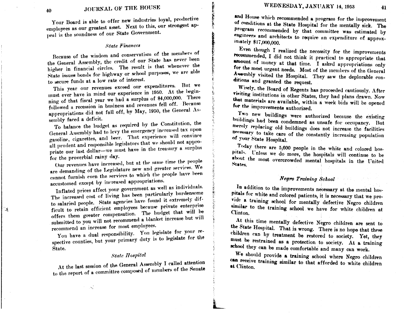Your Board is able to offer new industries loyal, productive employees as our greatest asset. Next to this, our strongest appeal is the soundness of our State Government.

#### **State Finances**

Because of the wisdom and conservatism of the members of the General Assembly, the credit of our State has never been higher in financial circles. The result is that whenever the State issues bonds for highway or school purposes, we are able to secure funds at a low rate of interest.

This year our revenues exceed our expenditures. But we must ever have in mind our experience in 1950. At the beginning of that fiscal year we had a surplus of \$4,000,000. There followed a recession in business and revenues fell off. Because appropriations did not fall off, by May, 1950, the General Assembly faced a deficit.

To balance the budget as required by the Constitution, the General Assembly had to levy the emergency increased tax upon gasoline, cigarettes, and beer. That experience will convince all prudent and responsible legislators that we should not appropriate our last dollar—we must have in the treasury a surplus for the proverbial rainy day.

Our revenues have increased, but at the same time the people are demanding of the Legislature new and greater services. We cannot furnish even the services to which the people have been accustomed except by increased appropriations.

Inflated prices affect your government as well as individuals. The increased cost of living has been particularly burdensome to salaried people. State agencies have found it extremely difficult to retain efficient employees because private enterprise offers them greater compensation. The budget that will be submitted to you will not recommend a blanket increase but will recommend an increase for most employees.

You have a dual responsibility. You legislate for your respective counties, but your primary duty is to legislate for the State.

# **State Hospital**

At the last session of the General Assembly I called attention to the report of a committee composed of members of the Senate and House which recommended a program for the improvement of conditions at the State Hospital for the mentally sick. The program recommended by that committee was estimated by engineers and architects to require an expenditure of approximately \$17,000,000.

Even though I realized the necessity for the improvements recommended, I did not think it practical to appropriate that amount of money at that time. I asked appropriations only for the most urgent needs. Most of the members of the General Assembly visited the Hospital. They saw the deplorable conditions and granted the request.

Wisely, the Board of Regents has proceeded cautiously. After visiting institutions in other States, they had plans drawn. Now that materials are available, within a week bids will be opened for the improvements authorized.

Two new buildings were authorized because the existing buildings had been condemned as unsafe for occupancy. But merely replacing old buildings does not increase the facilities necessary to take care of the constantly increasing population of your State Hospital.

Today there are 5,600 people in the white and colored hospitals. Unless we do more, the hospitals will continue to be about the most overcrowded mental hospitals in the United States.

## Negro Training School

In addition to the improvements necessary at the mental hospitals for white and colored patients, it is necessary that we provide a training school for mentally defective Negro children similar to the training school we have for white children at Clinton.

At this time mentally defective Negro children are sent to the State Hospital. That is wrong. There is no hope that these children can by treatment be restored to society. Yet, they must be restrained as a protection to society. At a training school they can be made comfortable and many can work.

We should provide a training school where Negro children can receive training similar to that afforded to white children at Clinton.

40

्ड्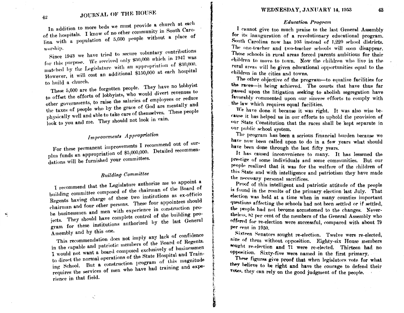In addition to more beds we must provide a church at each of the hospitals. I know of no other community in South Carolina with a population of 5,600 people without a place of worship.

Since 1943 we have tried to secure voluntary contributions for this purpose. We received only \$30,000 which in 1947 was matched by the Legislature with an appropriation of \$30,000. However, it will cost an additional \$150,000 at each hospital to build a church.

These 5,600 are the forgotten people. They have no lobbyist to offset the efforts of lobbyists, who would divert revenues to other governments, to raise the salaries of employees or reduce the taxes of people who by the grace of God are mentally and physically well and able to take care of themselves. These people look to you and me. They should not look in vain.

# Improvements Appropriation

For these permanent improvements I recommend out of surplus funds an appropriation of \$5,000,000. Detailed recommendations will be furnished your committees.

# **Building Committee**

I recommend that the Legislature authorize me to appoint a building committee composed of the chairman of the Board of Regents having charge of these two institutions as ex-officio chairman and four other persons. These four appointees should be businessmen and men with experience in construction projects. They should have complete control of the building program for these institutions authorized by the last General Assembly and by this one.

This recommendation does not imply any lack of confidence in the capable and patriotic members of the Board of Regents. I would not want a board composed exclusively of businessmen to direct the normal operations of the State Hospital and Training School. But a construction program of this magnitude requires the services of men who have had training and experience in that field.

#### **Education Program**

I cannot give too much praise to the last General Assembly for its inauguration of a revolutionary educational program. South Carolina now has 103 instead of 1,220 school districts. The one-teacher and two-teacher schools will soon disappear. Those schools in rural areas forced parents ambitious for their children to move to town. Now the children who live in the raral areas will be given educational opportunities equal to the children in the cities and towns.

The other objective of the program-to equalize facilities for the races-is being achieved. The courts that have thus far passed upon the litigation seeking to abolish segregation have favorably commented upon our sincere efforts to comply with the law which requires equal facilities.

We have done it because it was right. It was also wise because it has helped us in our efforts to uphold the provision of our State Constitution that the races shall be kept separate in our public school system.

The program has been a serious financial burden because we have now been called upon to do in a few years what should have been done through the last fifty years.

It has caused inconvenience to many. It has lessened the prestige of some individuals and some communities. But our people realized that it was for the welfare of the children of this State and with intelligence and patriotism they have made the necessary personal sacrifices.

Proof of this intelligent and patriotic attitude of the people is found in the results of the primary election last July. That election was held at a time when in many counties important questions affecting the schools had not been settled or if settled, the people had not become accustomed to the changes. Nevertheless, 82 per cent of the members of the General Assembly who offered for re-election were successful, compared with about 79 per cent in 1950.

Sixteen Senators sought re-election. Twelve were re-elected, nine of them without opposition. Eighty-six House members wought re-election and 71 were re-elected. Thirteen had no opposition. Sixty-five were named in the first primary.

These figures give proof that when legislators vote for what they believe to be right and have the courage to defend their votes, they can rely on the good judgment of the people.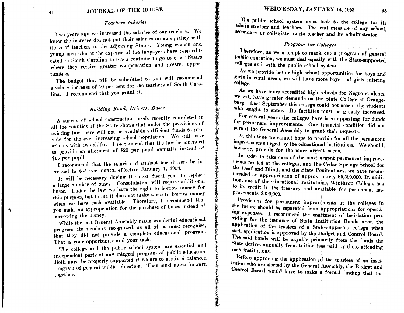## Teachers Salaries

Two years ago we increased the salaries of our teachers. We knew the increase did not put their salaries on an equality with those of teachers in the adjoining States. Young women and young men who at the expense of the taxpayers have been educated in South Carolina to teach continue to go to other States where they receive greater compensation and greater opportunities.

The budget that will be submitted to you will recommend a salary increase of 10 per cent for the teachers of South Carolina. I recommend that you grant it.

# **Building Fund, Drivers, Buses**

A survey of school construction needs recently completed in all the counties of the State shows that under the provisions of existing law there will not be available sufficient funds to provide for the ever increasing school population. We still have schools with two shifts. I recommend that the law be amended to provide an allotment of \$20 per pupil annually instead of \$15 per pupil.

I recommend that the salaries of student bus drivers be increased to \$35 per month, effective January 1, 1953.

It will be necessary during the next fiscal year to replace a large number of buses. Consolidation will require additional buses. Under the law we have the right to borrow money for this purpose, but to me it does not make sense to borrow money when we have cash available. Therefore, I recommend that you make an appropriation for the purchase of buses instead of borrowing the money.

While the last General Assembly made wonderful educational progress, its members recognized, as all of us must recognize, that they did not provide a complete educational program. That is your opportunity and your task.

The college and the public school system are essential and independent parts of any integral program of public education. Both must be properly supported if we are to attain a balanced program of general public education. They must move forward together.

The public school system must look to the college for its administrators and teachers. The real measure of any school, secondary or collegiate, is its teacher and its administrator.

## Program for Colleges

Therefore, as we attempt to mark out a program of general public education, we must deal equally with the State-supported colleges and with the public school system.

As we provide better high school opportunities for boys and girls in rural areas, we will have more boys and girls entering college.

As we have more accredited high schools for Negro students, we will have greater demands on the State College at Orangeburg. Last September this college could not accept the students who sought to enter. Its facilities must be greatly increased.

For several years the colleges have been appealing for funds for permanent improvements. Our financial condition did not permit the General Assembly to grant their requests.

At this time we cannot hope to provide for all the permanent improvements urged by the educational institutions. We should, however, provide for the more urgent needs.

In order to take care of the most urgent permanent improvements needed at the colleges, and the Cedar Springs School for the Deaf and Blind, and the State Penitentiary, we have recommended an appropriation of approximately \$5,500,000. In addition, one of the educational institutions, Winthrop College, has to its credit in the treasury and available for permanent improvements \$690,000.

Provisions for permanent improvements at the colleges in the future should be separated from appropriations for operating expenses. I recommend the enactment of legislation providing for the issuance of State Institution Bonds upon the application of the trustees of a State-supported college when such application is approved by the Budget and Control Board. The said bonds will be payable primarily from the funds the State derives annually from tuition fees paid by those attending such institutions.

Before approving the application of the trustees of an institution who are elected by the General Assembly, the Budget and Control Board would have to make a formal finding that the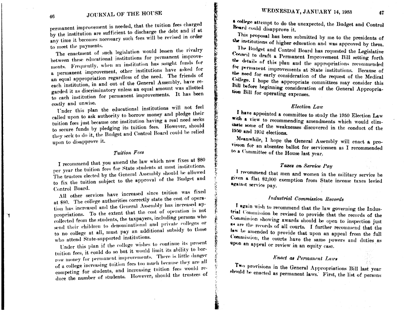permanent improvement is needed, that the tuition fees charged by the institution are sufficient to discharge the debt and if at any time it becomes necessary such fees will be revised in order to meet the payments.

The enactment of such legislation would lessen the rivalry between these educational institutions for permanent improvements. Frequently, when an institution has sought funds for a permanent improvement, other institutions have asked for an equal appropriation regardless of the need. The friends of each institution, in and out of the General Assembly, have regarded it as discriminatory unless an equal amount was allotted to each institution for permanent improvements. It has been costly and unwise.

Under this plan the educational institutions will not feel called upon to ask authority to borrow money and pledge their tuition fees just because one institution having a real need seeks to secure funds by pledging its tuition fees. However, should they seek to do it, the Budget and Control Board could be relied upon to disapprove it.

## Tuition Fees

I recommend that you amend the law which now fixes at \$80 per year the tuition fees for State students at most institutions. The trustees elected by the General Assembly should be allowed to fix the tuition subject to the approval of the Budget and Control Board.

All other services have increased since tuition was fixed at \$80. The college authorities correctly state the cost of operation has increased and the General Assembly has increased appropriations. To the extent that the cost of operation is not collected from the students, the taxpayers, including persons who send their children to denominational and private colleges or to no college at all, must pay an additional subsidy to those who attend State-supported institutions.

Under this plan if the college wishes to continue its present tuition fees, it could do so but it would limit its ability to borrow money for permanent improvements. There is little danger of a college increasing tuition fees too much because they are all competing for students, and increasing tuition fees would reduce the number of students. However, should the trustees of \* college attempt to do the unexpected, the Budget and Control Board could disapprove it.

This proposal has been submitted by me to the presidents of the institutions of higher education and was approved by them.

The Budget and Control Board has requested the Legislative Council to draft a Permanent Improvement Bill setting forth the details of this plan and the appropriations recommended for permanent improvements at State institutions. Because of the need for early consideration of the request of the Medical College. I hope the appropriate committees may consider this Bill before beginning consideration of the General Appropriation Bill for operating expenses.

#### Election Law

I have appointed a committee to study the 1950 Election Law with a view to recommending amendments which would elimthate some of the weaknesses discovered in the conduct of the 1950 and 1952 elections.

Meanwhile, I hope the General Assembly will enact a provision for an absentee ballot for servicemen as I recommended to a Committee of the House last year.

## Taxes on Service Pay

I recommend that men and women in the military service be given a flat \$2,000 exemption from State income taxes levied against service pay.

### Industrial Commission Records

I again wish to recommend that the law governing the Industrial Commission be revised to provide that the records of the Commission showing awards should be open to inspection just \*\* are the records of all courts. I further recommend that the law be amended to provide that upon an appeal from the full Commission, the courts have the same powers and duties as upon an appeal or review in an equity case.

## Enact as Permanent Laws

Two provisions in the General Appropriations Bill last year should be enacted as permanent laws. First, the list of persons

囆